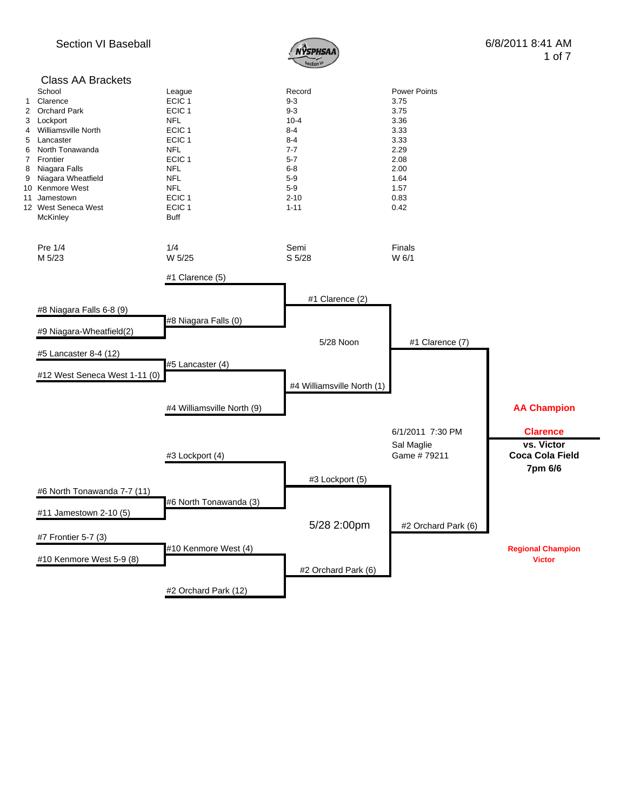

## Class AA Brackets<br>School School League Record Power Points 1 Clarence ECIC 1 9-3 3.75 2 Orchard Park **ECIC 1** 9-3 9-3 3.75 3 Lockport NFL 10-4 3.36 4 Williamsville North 5 Lancaster 6 2.333 ECIC 1 2.4 8-4 3.33 6 North Tonawanda NFL 7-7 2.29 7 Frontier ECIC 1 5-7 2.08 8 Niagara Falls 2.00 9 Niagara Wheatfield **NFL** NFL 5-9 5-9 1.64 10 Kenmore West **1.57**<br>11 Jamestown **1.57**<br>11 Jamestown **1.57**<br>12-10 2.10 11 Jamestown 12 West Seneca West **ECIC 1** 1-11 0.42<br>McKinley **1-11** 0.42 McKinley Pre 1/4 **1/4** 1/4 Semi **Semi** Finals M 5/23 W 5/25 S 5/28 W 6/1 #1 Clarence (5) #1 Clarence (2) #8 Niagara Falls 6-8 (9) #8 Niagara Falls (0) #9 Niagara-Wheatfield(2) 5/28 Noon #1 Clarence (7) #5 Lancaster 8-4 (12) #5 Lancaster (4) #12 West Seneca West 1-11 (0) #4 Williamsville North (1) #4 Williamsville North (9) **AA Champion** 6/1/2011 7:30 PM **Clarence** Sal Maglie **vs. Victor** #3 Lockport (4) Game # 79211 **Coca Cola Field 7pm 6/6** #3 Lockport (5) #6 North Tonawanda 7-7 (11) #6 North Tonawanda (3) #11 Jamestown 2-10 (5) 5/28 2:00pm #2 Orchard Park (6) #7 Frontier 5-7 (3) #10 Kenmore West (4) **Regional Champion** #10 Kenmore West 5-9 (8) **Victor** #2 Orchard Park (6) #2 Orchard Park (12)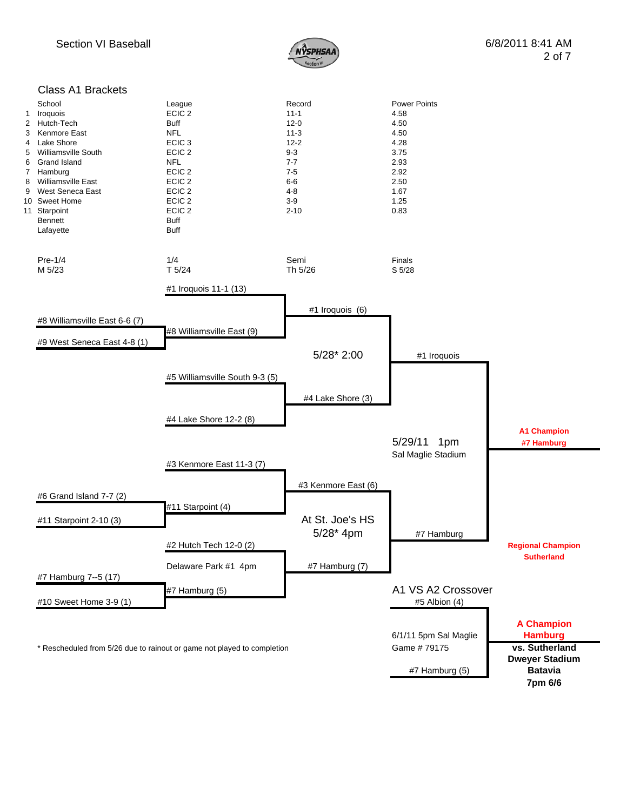

## Class A1 Brackets

| $\mathbf{1}$<br>3<br>4<br>5<br>6<br>8<br>9 | School<br>Iroquois<br>2 Hutch-Tech<br>Kenmore East<br><b>Lake Shore</b><br><b>Williamsville South</b><br><b>Grand Island</b><br>7 Hamburg<br>Williamsville East<br>West Seneca East<br>10 Sweet Home<br>11 Starpoint<br><b>Bennett</b><br>Lafayette | League<br>ECIC <sub>2</sub><br><b>Buff</b><br><b>NFL</b><br>ECIC <sub>3</sub><br>ECIC <sub>2</sub><br><b>NFL</b><br>ECIC <sub>2</sub><br>ECIC <sub>2</sub><br>ECIC <sub>2</sub><br>ECIC <sub>2</sub><br>ECIC <sub>2</sub><br><b>Buff</b><br>Buff | Record<br>$11 - 1$<br>$12 - 0$<br>$11 - 3$<br>$12 - 2$<br>$9 - 3$<br>$7 - 7$<br>$7 - 5$<br>$6-6$<br>$4 - 8$<br>$3-9$<br>$2 - 10$ | <b>Power Points</b><br>4.58<br>4.50<br>4.50<br>4.28<br>3.75<br>2.93<br>2.92<br>2.50<br>1.67<br>1.25<br>0.83 |                                                       |
|--------------------------------------------|-----------------------------------------------------------------------------------------------------------------------------------------------------------------------------------------------------------------------------------------------------|--------------------------------------------------------------------------------------------------------------------------------------------------------------------------------------------------------------------------------------------------|----------------------------------------------------------------------------------------------------------------------------------|-------------------------------------------------------------------------------------------------------------|-------------------------------------------------------|
|                                            | $Pre-1/4$<br>M 5/23                                                                                                                                                                                                                                 | 1/4<br>T <sub>5/24</sub>                                                                                                                                                                                                                         | Semi<br>Th 5/26                                                                                                                  | Finals<br>S 5/28                                                                                            |                                                       |
|                                            |                                                                                                                                                                                                                                                     | #1 Iroquois 11-1 (13)                                                                                                                                                                                                                            |                                                                                                                                  |                                                                                                             |                                                       |
|                                            | #8 Williamsville East 6-6 (7)                                                                                                                                                                                                                       | #8 Williamsville East (9)                                                                                                                                                                                                                        | #1 Iroquois (6)                                                                                                                  |                                                                                                             |                                                       |
|                                            | #9 West Seneca East 4-8 (1)                                                                                                                                                                                                                         |                                                                                                                                                                                                                                                  | 5/28* 2:00                                                                                                                       | #1 Iroquois                                                                                                 |                                                       |
|                                            |                                                                                                                                                                                                                                                     | #5 Williamsville South 9-3 (5)                                                                                                                                                                                                                   |                                                                                                                                  |                                                                                                             |                                                       |
|                                            |                                                                                                                                                                                                                                                     |                                                                                                                                                                                                                                                  | #4 Lake Shore (3)                                                                                                                |                                                                                                             |                                                       |
|                                            |                                                                                                                                                                                                                                                     | #4 Lake Shore 12-2 (8)                                                                                                                                                                                                                           |                                                                                                                                  |                                                                                                             |                                                       |
|                                            |                                                                                                                                                                                                                                                     | #3 Kenmore East 11-3 (7)                                                                                                                                                                                                                         |                                                                                                                                  | 5/29/11<br>1pm<br>Sal Maglie Stadium                                                                        | <b>A1 Champion</b><br>#7 Hamburg                      |
|                                            |                                                                                                                                                                                                                                                     |                                                                                                                                                                                                                                                  | #3 Kenmore East (6)                                                                                                              |                                                                                                             |                                                       |
|                                            | #6 Grand Island 7-7 (2)<br>#11 Starpoint 2-10 (3)                                                                                                                                                                                                   | #11 Starpoint (4)                                                                                                                                                                                                                                | At St. Joe's HS                                                                                                                  |                                                                                                             |                                                       |
|                                            |                                                                                                                                                                                                                                                     | #2 Hutch Tech 12-0 (2)                                                                                                                                                                                                                           | 5/28* 4pm                                                                                                                        | #7 Hamburg                                                                                                  | <b>Regional Champion</b>                              |
|                                            |                                                                                                                                                                                                                                                     | Delaware Park #1 4pm                                                                                                                                                                                                                             | #7 Hamburg (7)                                                                                                                   |                                                                                                             | <b>Sutherland</b>                                     |
|                                            | #7 Hamburg 7--5 (17)<br>#10 Sweet Home 3-9 (1)                                                                                                                                                                                                      | #7 Hamburg (5)                                                                                                                                                                                                                                   |                                                                                                                                  | A1 VS A2 Crossover<br>#5 Albion (4)                                                                         |                                                       |
|                                            | * Rescheduled from 5/26 due to rainout or game not played to completion                                                                                                                                                                             |                                                                                                                                                                                                                                                  |                                                                                                                                  | 6/1/11 5pm Sal Maglie<br>Game #79175                                                                        | <b>A Champion</b><br><b>Hamburg</b><br>vs. Sutherland |
|                                            |                                                                                                                                                                                                                                                     |                                                                                                                                                                                                                                                  |                                                                                                                                  | #7 Hamburg (5)                                                                                              | <b>Dweyer Stadium</b><br><b>Batavia</b><br>7pm 6/6    |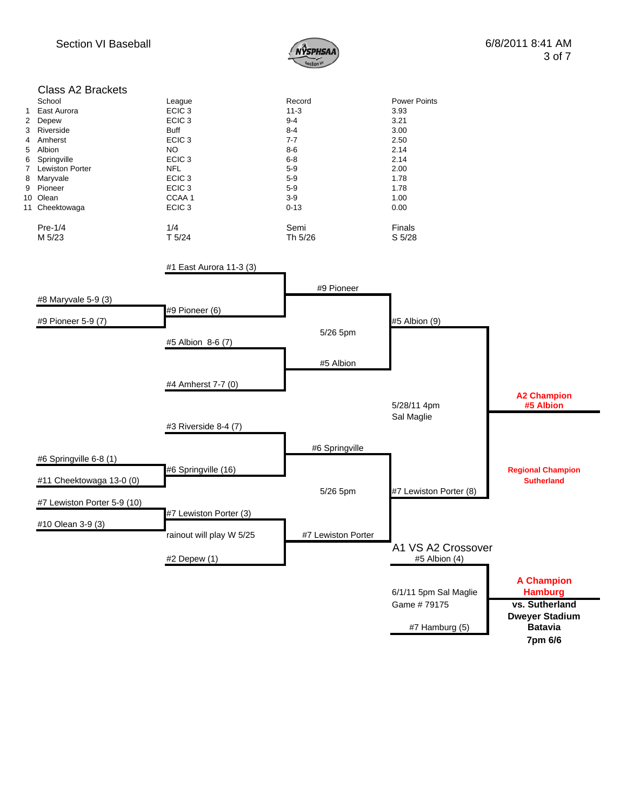

|                     | <b>Class A2 Brackets</b>              |                                        |                    |                        |                          |
|---------------------|---------------------------------------|----------------------------------------|--------------------|------------------------|--------------------------|
|                     | School                                | League                                 | Record             | <b>Power Points</b>    |                          |
| 1<br>$\overline{2}$ | East Aurora<br>Depew                  | ECIC <sub>3</sub><br>ECIC <sub>3</sub> | $11-3$<br>$9 - 4$  | 3.93<br>3.21           |                          |
| 3                   | Riverside                             | <b>Buff</b>                            | $8 - 4$            | 3.00                   |                          |
| 4                   | Amherst                               | ECIC <sub>3</sub>                      | 7-7                | 2.50                   |                          |
| 5                   | Albion                                | <b>NO</b>                              | $8-6$              | 2.14                   |                          |
| 6<br>7              | Springville<br><b>Lewiston Porter</b> | ECIC <sub>3</sub><br><b>NFL</b>        | $6 - 8$<br>$5-9$   | 2.14<br>2.00           |                          |
| 8                   | Maryvale                              | ECIC <sub>3</sub>                      | $5-9$              | 1.78                   |                          |
|                     | 9 Pioneer                             | ECIC <sub>3</sub>                      | $5-9$              | 1.78                   |                          |
|                     | 10 Olean                              | CCAA 1                                 | $3-9$              | 1.00                   |                          |
|                     | 11 Cheektowaga                        | ECIC <sub>3</sub>                      | $0 - 13$           | 0.00                   |                          |
|                     | Pre-1/4                               | 1/4                                    | Semi               | Finals                 |                          |
|                     | M 5/23                                | T <sub>5/24</sub>                      | Th 5/26            | S 5/28                 |                          |
|                     |                                       | #1 East Aurora 11-3 (3)                |                    |                        |                          |
|                     |                                       |                                        |                    |                        |                          |
|                     | #8 Maryvale 5-9 (3)                   |                                        | #9 Pioneer         |                        |                          |
|                     |                                       | #9 Pioneer (6)                         |                    |                        |                          |
|                     | #9 Pioneer 5-9 (7)                    |                                        |                    | #5 Albion (9)          |                          |
|                     |                                       |                                        | 5/26 5pm           |                        |                          |
|                     |                                       | #5 Albion 8-6 (7)                      |                    |                        |                          |
|                     |                                       |                                        | #5 Albion          |                        |                          |
|                     |                                       |                                        |                    |                        |                          |
|                     |                                       | #4 Amherst 7-7 (0)                     |                    |                        | <b>A2 Champion</b>       |
|                     |                                       |                                        |                    | 5/28/11 4pm            | #5 Albion                |
|                     |                                       |                                        |                    | Sal Maglie             |                          |
|                     |                                       | #3 Riverside 8-4 (7)                   |                    |                        |                          |
|                     |                                       |                                        | #6 Springville     |                        |                          |
|                     | #6 Springville 6-8 (1)                |                                        |                    |                        |                          |
|                     |                                       | #6 Springville (16)                    |                    |                        | <b>Regional Champion</b> |
|                     | #11 Cheektowaga 13-0 (0)              |                                        |                    |                        | <b>Sutherland</b>        |
|                     | #7 Lewiston Porter 5-9 (10)           |                                        | 5/26 5pm           | #7 Lewiston Porter (8) |                          |
|                     |                                       | #7 Lewiston Porter (3)                 |                    |                        |                          |
|                     | #10 Olean 3-9 (3)                     |                                        |                    |                        |                          |
|                     |                                       | rainout will play W 5/25               | #7 Lewiston Porter |                        |                          |
|                     |                                       |                                        |                    | A1 VS A2 Crossover     |                          |
|                     |                                       | #2 Depew (1)                           |                    | #5 Albion (4)          |                          |
|                     |                                       |                                        |                    |                        | <b>A Champion</b>        |
|                     |                                       |                                        |                    | 6/1/11 5pm Sal Maglie  | <b>Hamburg</b>           |
|                     |                                       |                                        |                    | Game #79175            | vs. Sutherland           |
|                     |                                       |                                        |                    |                        | <b>Dweyer Stadium</b>    |
|                     |                                       |                                        |                    | #7 Hamburg (5)         | <b>Batavia</b>           |
|                     |                                       |                                        |                    |                        | 7pm 6/6                  |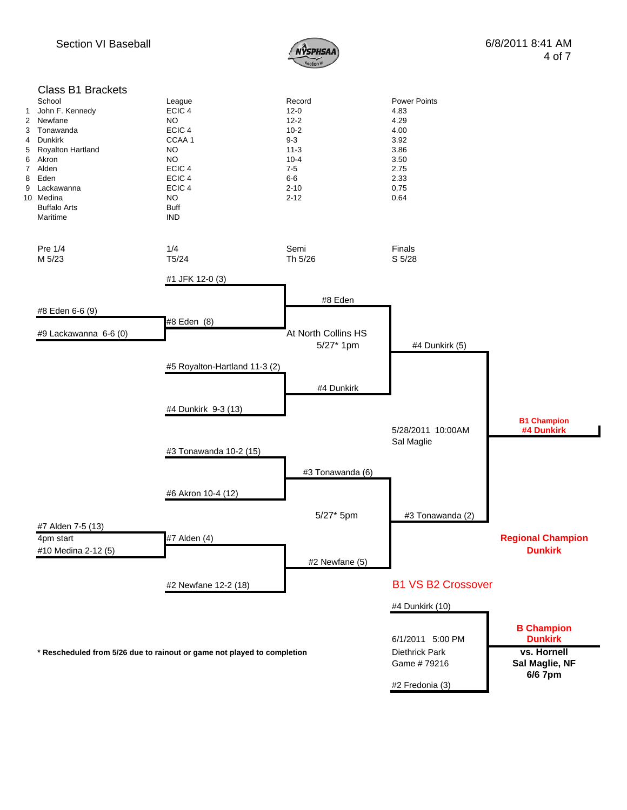

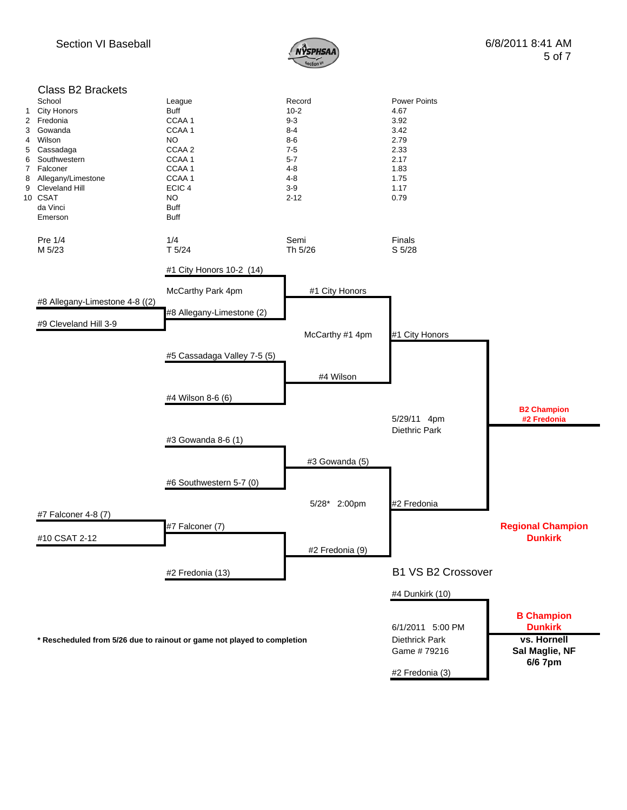

| 1<br>$\overline{2}$<br>3<br>4<br>5<br>6<br>$\overline{7}$ | <b>Class B2 Brackets</b><br>School<br><b>City Honors</b><br>Fredonia<br>Gowanda<br>Wilson<br>Cassadaga<br>Southwestern<br>Falconer<br>8 Allegany/Limestone<br>9 Cleveland Hill<br>10 CSAT<br>da Vinci<br>Emerson | League<br>Buff<br>CCAA1<br>CCAA1<br>NO.<br>CCAA 2<br>CCAA1<br>CCAA 1<br>CCAA 1<br>ECIC <sub>4</sub><br><b>NO</b><br><b>Buff</b><br><b>Buff</b> | Record<br>$10 - 2$<br>$9 - 3$<br>$8 - 4$<br>8-6<br>$7-5$<br>$5 - 7$<br>$4 - 8$<br>$4 - 8$<br>$3-9$<br>$2 - 12$ | <b>Power Points</b><br>4.67<br>3.92<br>3.42<br>2.79<br>2.33<br>2.17<br>1.83<br>1.75<br>1.17<br>0.79 |                                            |
|-----------------------------------------------------------|------------------------------------------------------------------------------------------------------------------------------------------------------------------------------------------------------------------|------------------------------------------------------------------------------------------------------------------------------------------------|----------------------------------------------------------------------------------------------------------------|-----------------------------------------------------------------------------------------------------|--------------------------------------------|
|                                                           | Pre 1/4<br>M 5/23                                                                                                                                                                                                | 1/4<br>T <sub>5/24</sub>                                                                                                                       | Semi<br>Th 5/26                                                                                                | Finals<br>S 5/28                                                                                    |                                            |
|                                                           |                                                                                                                                                                                                                  | #1 City Honors 10-2 (14)                                                                                                                       |                                                                                                                |                                                                                                     |                                            |
|                                                           |                                                                                                                                                                                                                  | McCarthy Park 4pm                                                                                                                              | #1 City Honors                                                                                                 |                                                                                                     |                                            |
|                                                           | #8 Allegany-Limestone 4-8 ((2)                                                                                                                                                                                   | #8 Allegany-Limestone (2)                                                                                                                      |                                                                                                                |                                                                                                     |                                            |
|                                                           | #9 Cleveland Hill 3-9                                                                                                                                                                                            |                                                                                                                                                | McCarthy #1 4pm                                                                                                | #1 City Honors                                                                                      |                                            |
|                                                           |                                                                                                                                                                                                                  | #5 Cassadaga Valley 7-5 (5)                                                                                                                    |                                                                                                                |                                                                                                     |                                            |
|                                                           |                                                                                                                                                                                                                  |                                                                                                                                                | #4 Wilson                                                                                                      |                                                                                                     |                                            |
|                                                           |                                                                                                                                                                                                                  | #4 Wilson 8-6 (6)                                                                                                                              |                                                                                                                |                                                                                                     | <b>B2 Champion</b>                         |
|                                                           |                                                                                                                                                                                                                  |                                                                                                                                                |                                                                                                                | 5/29/11 4pm<br>Diethric Park                                                                        | #2 Fredonia                                |
|                                                           |                                                                                                                                                                                                                  | #3 Gowanda 8-6 (1)                                                                                                                             |                                                                                                                |                                                                                                     |                                            |
|                                                           |                                                                                                                                                                                                                  |                                                                                                                                                | #3 Gowanda (5)                                                                                                 |                                                                                                     |                                            |
|                                                           |                                                                                                                                                                                                                  | #6 Southwestern 5-7 (0)                                                                                                                        |                                                                                                                |                                                                                                     |                                            |
|                                                           | #7 Falconer 4-8 (7)                                                                                                                                                                                              |                                                                                                                                                | 5/28* 2:00pm                                                                                                   | #2 Fredonia                                                                                         |                                            |
|                                                           | #10 CSAT 2-12                                                                                                                                                                                                    | #7 Falconer (7)                                                                                                                                |                                                                                                                |                                                                                                     | <b>Regional Champion</b><br><b>Dunkirk</b> |
|                                                           |                                                                                                                                                                                                                  |                                                                                                                                                | #2 Fredonia (9)                                                                                                |                                                                                                     |                                            |
|                                                           |                                                                                                                                                                                                                  | #2 Fredonia (13)                                                                                                                               |                                                                                                                | <b>B1 VS B2 Crossover</b>                                                                           |                                            |
|                                                           |                                                                                                                                                                                                                  |                                                                                                                                                |                                                                                                                | #4 Dunkirk (10)                                                                                     |                                            |
|                                                           |                                                                                                                                                                                                                  |                                                                                                                                                |                                                                                                                | 6/1/2011 5:00 PM                                                                                    | <b>B Champion</b><br><b>Dunkirk</b>        |
|                                                           | * Rescheduled from 5/26 due to rainout or game not played to completion                                                                                                                                          |                                                                                                                                                |                                                                                                                | <b>Diethrick Park</b><br>Game #79216                                                                | vs. Hornell<br>Sal Maglie, NF              |
|                                                           |                                                                                                                                                                                                                  |                                                                                                                                                |                                                                                                                | #2 Fredonia (3)                                                                                     | 6/6 7pm                                    |
|                                                           |                                                                                                                                                                                                                  |                                                                                                                                                |                                                                                                                |                                                                                                     |                                            |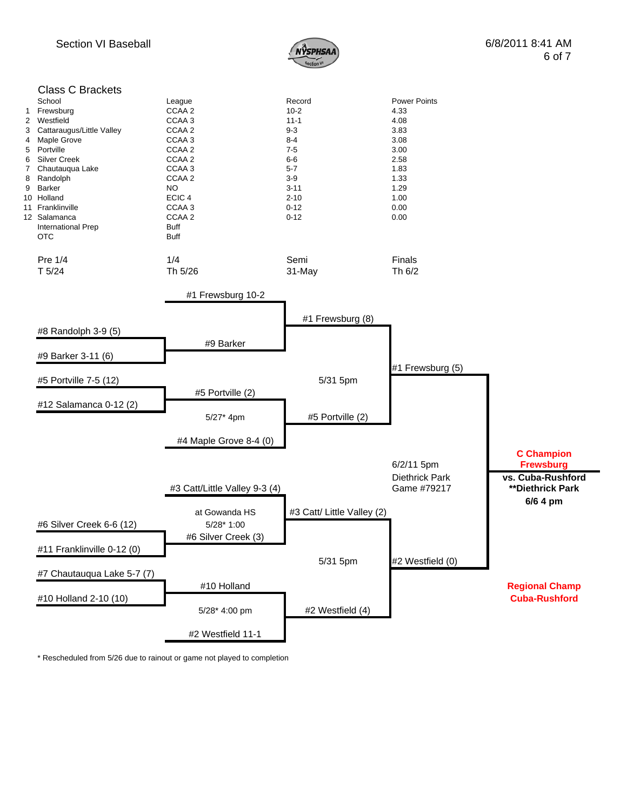



\* Rescheduled from 5/26 due to rainout or game not played to completion